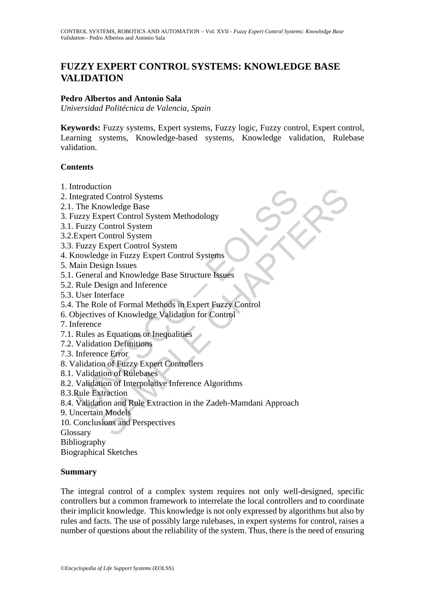# **FUZZY EXPERT CONTROL SYSTEMS: KNOWLEDGE BASE VALIDATION**

#### **Pedro Albertos and Antonio Sala**

*Universidad Politécnica de Valencia, Spain* 

**Keywords:** Fuzzy systems, Expert systems, Fuzzy logic, Fuzzy control, Expert control, Learning systems, Knowledge-based systems, Knowledge validation, Rulebase validation.

#### **Contents**

- 1. Introduction
- 2. Integrated Control Systems
- 2.1. The Knowledge Base
- 3. Fuzzy Expert Control System Methodology
- 3.1. Fuzzy Control System
- 3.2.Expert Control System
- 3.3. Fuzzy Expert Control System
- 4. Knowledge in Fuzzy Expert Control Systems
- 5. Main Design Issues
- 5.1. General and Knowledge Base Structure Issues
- 5.2. Rule Design and Inference
- 5.3. User Interface
- 5.4. The Role of Formal Methods in Expert Fuzzy Control
- 6. Objectives of Knowledge Validation for Control
- 7. Inference
- 7.1. Rules as Equations or Inequalities
- 7.2. Validation Definitions
- 7.3. Inference Error
- 8. Validation of Fuzzy Expert Controllers
- 8.1. Validation of Rulebases
- 8.2. Validation of Interpolative Inference Algorithms
- 8.3.Rule Extraction
- ntoucution<br>
Integrated Control Systems<br>
The Knowledge Base<br>
uzzy Expert Control System Methodology<br>
Fuzzy Control System<br>
Expert Control System<br>
Expert Control System<br>
Integrated in Fuzzy Expert Control Systems<br>
Iain Desig non<br>
dd Control Systems<br>
nowledge Base<br>
xpert Control System<br>
Control System<br>
Control System<br>
Control System<br>
Expert Control System<br>
Expert Control System<br>
Expert Control System<br>
and and Knowledge Base Structure Issues<br>
be 8.4. Validation and Rule Extraction in the Zadeh-Mamdani Approach
- 9. Uncertain Models
- 10. Conclusions and Perspectives
- Glossary

Bibliography

Biographical Sketches

#### **Summary**

The integral control of a complex system requires not only well-designed, specific controllers but a common framework to interrelate the local controllers and to coordinate their implicit knowledge. This knowledge is not only expressed by algorithms but also by rules and facts. The use of possibly large rulebases, in expert systems for control, raises a number of questions about the reliability of the system. Thus, there is the need of ensuring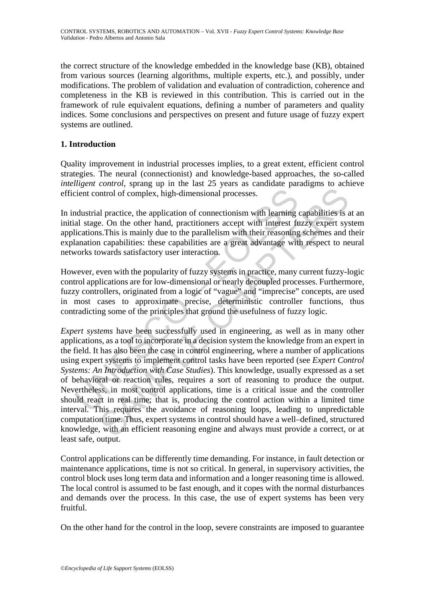the correct structure of the knowledge embedded in the knowledge base (KB), obtained from various sources (learning algorithms, multiple experts, etc.), and possibly, under modifications. The problem of validation and evaluation of contradiction, coherence and completeness in the KB is reviewed in this contribution. This is carried out in the framework of rule equivalent equations, defining a number of parameters and quality indices. Some conclusions and perspectives on present and future usage of fuzzy expert systems are outlined.

## **1. Introduction**

Quality improvement in industrial processes implies, to a great extent, efficient control strategies. The neural (connectionist) and knowledge-based approaches, the so-called *intelligent control*, sprang up in the last 25 years as candidate paradigms to achieve efficient control of complex, high-dimensional processes.

In industrial practice, the application of connectionism with learning capabilities is at an initial stage. On the other hand, practitioners accept with interest fuzzy expert system applications.This is mainly due to the parallelism with their reasoning schemes and their explanation capabilities: these capabilities are a great advantage with respect to neural networks towards satisfactory user interaction.

However, even with the popularity of fuzzy systems in practice, many current fuzzy-logic control applications are for low-dimensional or nearly decoupled processes. Furthermore, fuzzy controllers, originated from a logic of "vague" and "imprecise" concepts, are used in most cases to approximate precise, deterministic controller functions, thus contradicting some of the principles that ground the usefulness of fuzzy logic.

cient control of complex, high-dimensional processes.<br>
Industrial practice, the application of connectionism with learning<br>
al stage. On the other hand, practitioners accept with interest fu<br>
lications. This is mainly due Introduction of complex, high-dimensional processes.<br>
In practice, the application of connectionism with learning capabilities is is.<br>
In practice, the application of connectionism with learning capabilities is s.<br>
In a ca *Expert systems* have been successfully used in engineering, as well as in many other applications, as a tool to incorporate in a decision system the knowledge from an expert in the field. It has also been the case in control engineering, where a number of applications using expert systems to implement control tasks have been reported (see *Expert Control Systems: An Introduction with Case Studies*). This knowledge, usually expressed as a set of behavioral or reaction rules, requires a sort of reasoning to produce the output. Nevertheless, in most control applications, time is a critical issue and the controller should react in real time; that is, producing the control action within a limited time interval. This requires the avoidance of reasoning loops, leading to unpredictable computation time. Thus, expert systems in control should have a well–defined, structured knowledge, with an efficient reasoning engine and always must provide a correct, or at least safe, output.

Control applications can be differently time demanding. For instance, in fault detection or maintenance applications, time is not so critical. In general, in supervisory activities, the control block uses long term data and information and a longer reasoning time is allowed. The local control is assumed to be fast enough, and it copes with the normal disturbances and demands over the process. In this case, the use of expert systems has been very fruitful.

On the other hand for the control in the loop, severe constraints are imposed to guarantee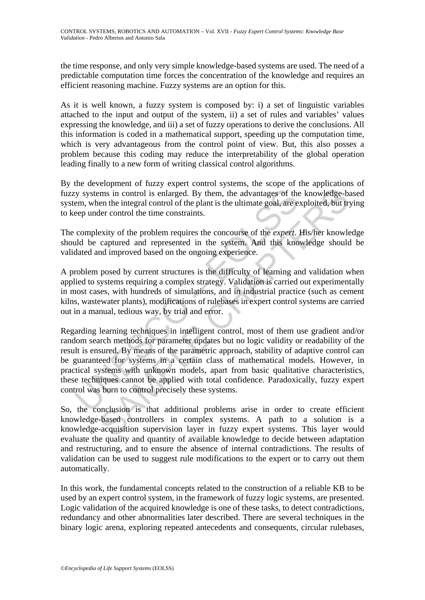the time response, and only very simple knowledge-based systems are used. The need of a predictable computation time forces the concentration of the knowledge and requires an efficient reasoning machine. Fuzzy systems are an option for this.

As it is well known, a fuzzy system is composed by: i) a set of linguistic variables attached to the input and output of the system, ii) a set of rules and variables' values expressing the knowledge, and iii) a set of fuzzy operations to derive the conclusions. All this information is coded in a mathematical support, speeding up the computation time, which is very advantageous from the control point of view. But, this also posses a problem because this coding may reduce the interpretability of the global operation leading finally to a new form of writing classical control algorithms.

By the development of fuzzy expert control systems, the scope of the applications of fuzzy systems in control is enlarged. By them, the advantages of the knowledge-based system, when the integral control of the plant is the ultimate goal, are exploited, but trying to keep under control the time constraints.

The complexity of the problem requires the concourse of the *expert*. His/her knowledge should be captured and represented in the system. And this knowledge should be validated and improved based on the ongoing experience.

A problem posed by current structures is the difficulty of learning and validation when applied to systems requiring a complex strategy. Validation is carried out experimentally in most cases, with hundreds of simulations, and in industrial practice (such as cement kilns, wastewater plants), modifications of rulebases in expert control systems are carried out in a manual, tedious way, by trial and error.

is experiment in control is enlarged. By them, the advantages of the<br>em, when the integral control of the plant is the ultimate goal, are e<br>eep under control the time constraints.<br>Complexity of the problem requires the con man in control is enlarged. By them, the advantages of the knowledge-ben the integral control of the plant is the ultimate goal, are exploited, but true control of the plant is the ultimate goal, are exploited, but true co Regarding learning techniques in intelligent control, most of them use gradient and/or random search methods for parameter updates but no logic validity or readability of the result is ensured. By means of the parametric approach, stability of adaptive control can be guaranteed for systems in a certain class of mathematical models. However, in practical systems with unknown models, apart from basic qualitative characteristics, these techniques cannot be applied with total confidence. Paradoxically, fuzzy expert control was born to control precisely these systems.

So, the conclusion is that additional problems arise in order to create efficient knowledge-based controllers in complex systems. A path to a solution is a knowledge-acquisition supervision layer in fuzzy expert systems. This layer would evaluate the quality and quantity of available knowledge to decide between adaptation and restructuring, and to ensure the absence of internal contradictions. The results of validation can be used to suggest rule modifications to the expert or to carry out them automatically.

In this work, the fundamental concepts related to the construction of a reliable KB to be used by an expert control system, in the framework of fuzzy logic systems, are presented. Logic validation of the acquired knowledge is one of these tasks, to detect contradictions, redundancy and other abnormalities later described. There are several techniques in the binary logic arena, exploring repeated antecedents and consequents, circular rulebases,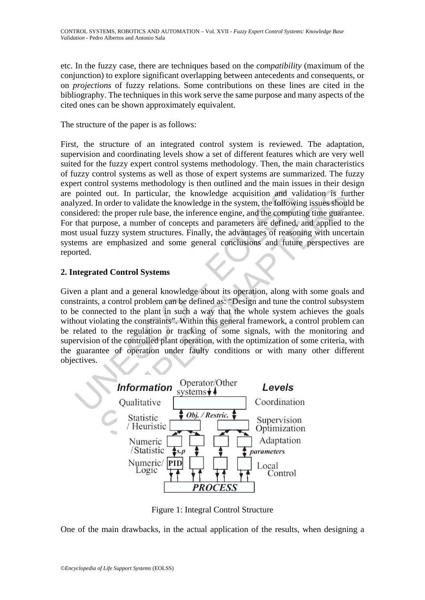etc. In the fuzzy case, there are techniques based on the *compatibility* (maximum of the conjunction) to explore significant overlapping between antecedents and consequents, or on *projections* of fuzzy relations. Some contributions on these lines are cited in the bibliography. The techniques in this work serve the same purpose and many aspects of the cited ones can be shown approximately equivalent.

The structure of the paper is as follows:

First, the structure of an integrated control system is reviewed. The adaptation, supervision and coordinating levels show a set of different features which are very well suited for the fuzzy expert control systems methodology. Then, the main characteristics of fuzzy control systems as well as those of expert systems are summarized. The fuzzy expert control systems methodology is then outlined and the main issues in their design are pointed out. In particular, the knowledge acquisition and validation is further analyzed. In order to validate the knowledge in the system, the following issues should be considered: the proper rule base, the inference engine, and the computing time guarantee. For that purpose, a number of concepts and parameters are defined, and applied to the most usual fuzzy system structures. Finally, the advantages of reasoning with uncertain systems are emphasized and some general conclusions and future perspectives are reported.

## **2. Integrated Control Systems**

pointed out. In particular, the knowledge acquisition and va<br>yzed. In order to validate the knowledge in the system, the followis<br>idered: the proper rule base, the inference engine, and the comput<br>that purpose, a number of d out. In particular, the knowledge acquisition and validation is function of the proper rule base, the inference engine, and the computing time guaranty crises should the search in the computer of concepts and parameters Given a plant and a general knowledge about its operation, along with some goals and constraints, a control problem can be defined as: "Design and tune the control subsystem to be connected to the plant in such a way that the whole system achieves the goals without violating the constraints". Within this general framework, a control problem can be related to the regulation or tracking of some signals, with the monitoring and supervision of the controlled plant operation, with the optimization of some criteria, with the guarantee of operation under faulty conditions or with many other different objectives.



Figure 1: Integral Control Structure

One of the main drawbacks, in the actual application of the results, when designing a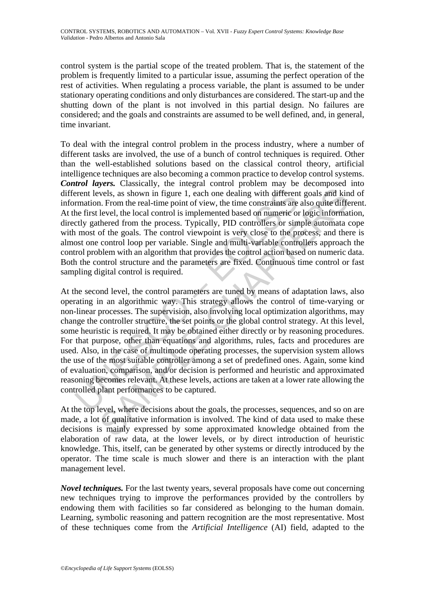control system is the partial scope of the treated problem. That is, the statement of the problem is frequently limited to a particular issue, assuming the perfect operation of the rest of activities. When regulating a process variable, the plant is assumed to be under stationary operating conditions and only disturbances are considered. The start-up and the shutting down of the plant is not involved in this partial design. No failures are considered; and the goals and constraints are assumed to be well defined, and, in general, time invariant.

To deal with the integral control problem in the process industry, where a number of different tasks are involved, the use of a bunch of control techniques is required. Other than the well-established solutions based on the classical control theory, artificial intelligence techniques are also becoming a common practice to develop control systems. *Control layers.* Classically, the integral control problem may be decomposed into different levels, as shown in figure 1, each one dealing with different goals and kind of information. From the real-time point of view, the time constraints are also quite different. At the first level, the local control is implemented based on numeric or logic information, directly gathered from the process. Typically, PID controllers or simple automata cope with most of the goals. The control viewpoint is very close to the process, and there is almost one control loop per variable. Single and multi-variable controllers approach the control problem with an algorithm that provides the control action based on numeric data. Both the control structure and the parameters are fixed. Continuous time control or fast sampling digital control is required.

erent levels, as shown in figure 1, each one dealing with different rent levels, as shown in figure 1, each one dealing with different rentation. From the real-time point of view, the time constraints are he first level, t vels, as shown in figure 1, each one dealing with different goals and kin. From the real-time point of view, the time constraints are also quite different level, the local control is implemented based on numeric or logic i At the second level, the control parameters are tuned by means of adaptation laws, also operating in an algorithmic way. This strategy allows the control of time-varying or non-linear processes. The supervision, also involving local optimization algorithms, may change the controller structure, the set points or the global control strategy. At this level, some heuristic is required. It may be obtained either directly or by reasoning procedures. For that purpose, other than equations and algorithms, rules, facts and procedures are used. Also, in the case of multimode operating processes, the supervision system allows the use of the most suitable controller among a set of predefined ones. Again, some kind of evaluation, comparison, and/or decision is performed and heuristic and approximated reasoning becomes relevant. At these levels, actions are taken at a lower rate allowing the controlled plant performances to be captured.

At the top level, where decisions about the goals, the processes, sequences, and so on are made, a lot of qualitative information is involved. The kind of data used to make these decisions is mainly expressed by some approximated knowledge obtained from the elaboration of raw data, at the lower levels, or by direct introduction of heuristic knowledge. This, itself, can be generated by other systems or directly introduced by the operator. The time scale is much slower and there is an interaction with the plant management level.

*Novel techniques.* For the last twenty years, several proposals have come out concerning new techniques trying to improve the performances provided by the controllers by endowing them with facilities so far considered as belonging to the human domain. Learning, symbolic reasoning and pattern recognition are the most representative. Most of these techniques come from the *Artificial Intelligence* (AI) field, adapted to the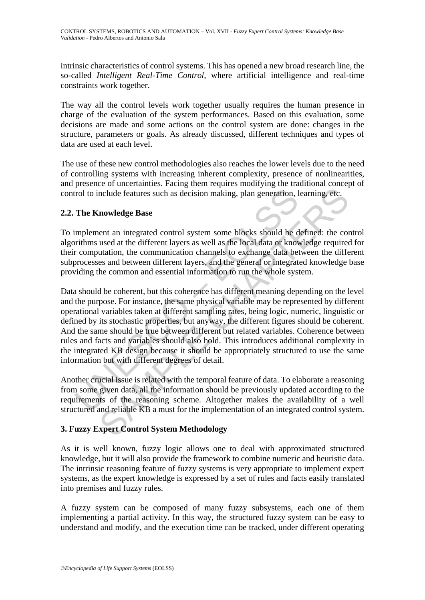intrinsic characteristics of control systems. This has opened a new broad research line, the so-called *Intelligent Real*-*Time Control*, where artificial intelligence and real-time constraints work together.

The way all the control levels work together usually requires the human presence in charge of the evaluation of the system performances. Based on this evaluation, some decisions are made and some actions on the control system are done: changes in the structure, parameters or goals. As already discussed, different techniques and types of data are used at each level.

The use of these new control methodologies also reaches the lower levels due to the need of controlling systems with increasing inherent complexity, presence of nonlinearities, and presence of uncertainties. Facing them requires modifying the traditional concept of control to include features such as decision making, plan generation, learning, etc.

#### **2.2. The Knowledge Base**

To implement an integrated control system some blocks should be defined: the control algorithms used at the different layers as well as the local data or knowledge required for their computation, the communication channels to exchange data between the different subprocesses and between different layers, and the general or integrated knowledge base providing the common and essential information to run the whole system.

Trol to include features such as decision making, plan generation, I<br>The Knowledge Base<br>Implement an integrated control system some blocks should be d<br>implement an integrated control system some blocks should be d<br>prima us nculude features such as decision making, plan generation, learning, etc.<br>
nowledge Base<br>
nent an integrated control system some blocks should be defined: the consed at the different layers as well as the local data or kno Data should be coherent, but this coherence has different meaning depending on the level and the purpose. For instance, the same physical variable may be represented by different operational variables taken at different sampling rates, being logic, numeric, linguistic or defined by its stochastic properties, but anyway, the different figures should be coherent. And the same should be true between different but related variables. Coherence between rules and facts and variables should also hold. This introduces additional complexity in the integrated KB design because it should be appropriately structured to use the same information but with different degrees of detail.

Another crucial issue is related with the temporal feature of data. To elaborate a reasoning from some given data, all the information should be previously updated according to the requirements of the reasoning scheme. Altogether makes the availability of a well structured and reliable KB a must for the implementation of an integrated control system.

#### **3. Fuzzy Expert Control System Methodology**

As it is well known, fuzzy logic allows one to deal with approximated structured knowledge, but it will also provide the framework to combine numeric and heuristic data. The intrinsic reasoning feature of fuzzy systems is very appropriate to implement expert systems, as the expert knowledge is expressed by a set of rules and facts easily translated into premises and fuzzy rules.

A fuzzy system can be composed of many fuzzy subsystems, each one of them implementing a partial activity. In this way, the structured fuzzy system can be easy to understand and modify, and the execution time can be tracked, under different operating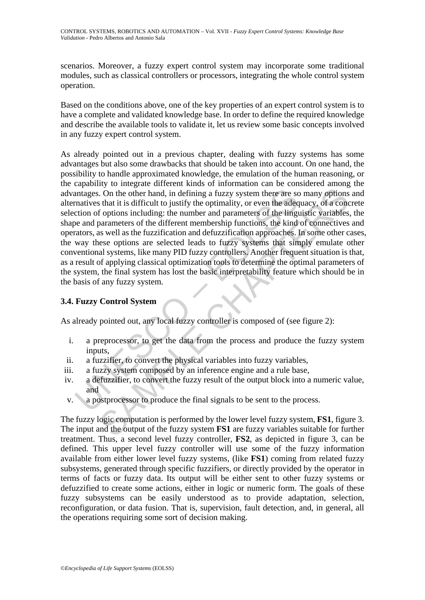scenarios. Moreover, a fuzzy expert control system may incorporate some traditional modules, such as classical controllers or processors, integrating the whole control system operation.

Based on the conditions above, one of the key properties of an expert control system is to have a complete and validated knowledge base. In order to define the required knowledge and describe the available tools to validate it, let us review some basic concepts involved in any fuzzy expert control system.

antages. On the other hand, in defining a fuzzy system there are so<br>matives that it is difficult to justify the optimality, or even the adeq<br>econon of options including: the number and parameters of the linge<br>e and paramet Control strategy and the final strategy system there are so many options<br>
that it is difficult to justify the optimality, or even the adequacy, of a conception<br>
for options including: the number and parameters of the diing As already pointed out in a previous chapter, dealing with fuzzy systems has some advantages but also some drawbacks that should be taken into account. On one hand, the possibility to handle approximated knowledge, the emulation of the human reasoning, or the capability to integrate different kinds of information can be considered among the advantages. On the other hand, in defining a fuzzy system there are so many options and alternatives that it is difficult to justify the optimality, or even the adequacy, of a concrete selection of options including: the number and parameters of the linguistic variables, the shape and parameters of the different membership functions, the kind of connectives and operators, as well as the fuzzification and defuzzification approaches. In some other cases, the way these options are selected leads to fuzzy systems that simply emulate other conventional systems, like many PID fuzzy controllers. Another frequent situation is that, as a result of applying classical optimization tools to determine the optimal parameters of the system, the final system has lost the basic interpretability feature which should be in the basis of any fuzzy system.

### **3.4. Fuzzy Control System**

As already pointed out, any local fuzzy controller is composed of (see figure 2):

- i. a preprocessor, to get the data from the process and produce the fuzzy system inputs,
- ii. a fuzzifier, to convert the physical variables into fuzzy variables,
- iii. a fuzzy system composed by an inference engine and a rule base,
- iv. a defuzzifier, to convert the fuzzy result of the output block into a numeric value, and
- v. a postprocessor to produce the final signals to be sent to the process.

The fuzzy logic computation is performed by the lower level fuzzy system, **FS1**, figure 3. The input and the output of the fuzzy system **FS1** are fuzzy variables suitable for further treatment. Thus, a second level fuzzy controller, **FS2**, as depicted in figure 3, can be defined. This upper level fuzzy controller will use some of the fuzzy information available from either lower level fuzzy systems, (like **FS1**) coming from related fuzzy subsystems, generated through specific fuzzifiers, or directly provided by the operator in terms of facts or fuzzy data. Its output will be either sent to other fuzzy systems or defuzzified to create some actions, either in logic or numeric form. The goals of these fuzzy subsystems can be easily understood as to provide adaptation, selection, reconfiguration, or data fusion. That is, supervision, fault detection, and, in general, all the operations requiring some sort of decision making.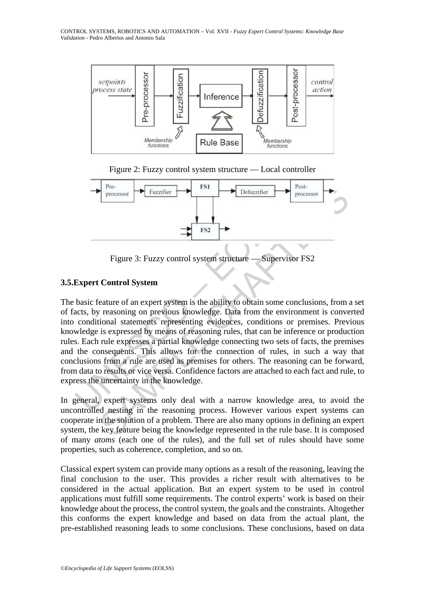





Figure 3: Fuzzy control system structure — Supervisor FS2

# **3.5.Expert Control System**

Expert Control System<br>
Figure 3: Fuzzy control system structure — Supervisor<br>
Expert Control System<br>
basic feature of an expert system is the ability to obtain some concats,<br>
by reasoning on previous knowledge. Data from t Fracessor<br>
Figure 3: Fuzzy control system structure — Supervisor FS2<br>
Figure 3: Fuzzy control system structure — Supervisor FS2<br>
Control System<br>
Figure 3: Fuzzy control system is the ability to obtain some conclusions, fro The basic feature of an expert system is the ability to obtain some conclusions, from a set of facts, by reasoning on previous knowledge. Data from the environment is converted into conditional statements representing evidences, conditions or premises. Previous knowledge is expressed by means of reasoning rules, that can be inference or production rules. Each rule expresses a partial knowledge connecting two sets of facts, the premises and the consequents. This allows for the connection of rules, in such a way that conclusions from a rule are used as premises for others. The reasoning can be forward, from data to results or vice versa. Confidence factors are attached to each fact and rule, to express the uncertainty in the knowledge.

In general, expert systems only deal with a narrow knowledge area, to avoid the uncontrolled nesting in the reasoning process. However various expert systems can cooperate in the solution of a problem. There are also many options in defining an expert system, the key feature being the knowledge represented in the rule base. It is composed of many *atoms* (each one of the rules), and the full set of rules should have some properties, such as coherence, completion, and so on.

Classical expert system can provide many options as a result of the reasoning, leaving the final conclusion to the user. This provides a richer result with alternatives to be considered in the actual application. But an expert system to be used in control applications must fulfill some requirements. The control experts' work is based on their knowledge about the process, the control system, the goals and the constraints. Altogether this conforms the expert knowledge and based on data from the actual plant, the pre-established reasoning leads to some conclusions. These conclusions, based on data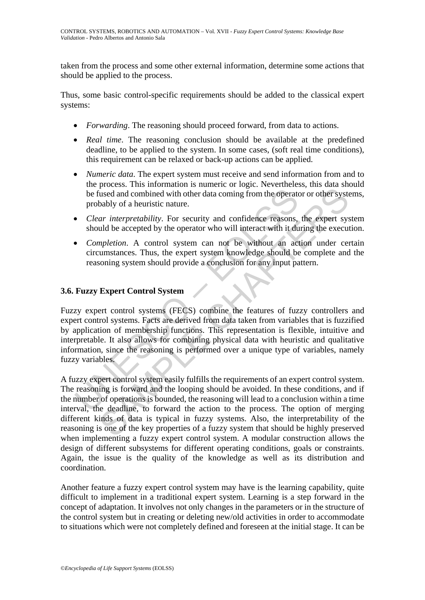taken from the process and some other external information, determine some actions that should be applied to the process.

Thus, some basic control-specific requirements should be added to the classical expert systems:

- *Forwarding*. The reasoning should proceed forward, from data to actions.
- *Real time*. The reasoning conclusion should be available at the predefined deadline, to be applied to the system. In some cases, (soft real time conditions), this requirement can be relaxed or back-up actions can be applied.
- *Numeric data*. The expert system must receive and send information from and to the process. This information is numeric or logic. Nevertheless, this data should be fused and combined with other data coming from the operator or other systems, probably of a heuristic nature.
- *Clear interpretability*. For security and confidence reasons, the expert system should be accepted by the operator who will interact with it during the execution.
- *Completion*. A control system can not be without an action under certain circumstances. Thus, the expert system knowledge should be complete and the reasoning system should provide a conclusion for any input pattern.

## **3.6. Fuzzy Expert Control System**

be fused and combined with other data coming from the operator<br>pobably of a heuristic nature.<br>
Clear interpretability. For security and confidence reasons,<br>
should be accepted by the operator who will interact with it du<br> Fuzzy expert control systems (FECS) combine the features of fuzzy controllers and expert control systems. Facts are derived from data taken from variables that is fuzzified by application of membership functions. This representation is flexible, intuitive and interpretable. It also allows for combining physical data with heuristic and qualitative information, since the reasoning is performed over a unique type of variables, namely fuzzy variables.

issed and combined with other data coming from the operator or other systems) and combined with other data coming from the operator or other systems<br>bably of a heuristic nature.<br>Ar *interpretability*. For security and conf A fuzzy expert control system easily fulfills the requirements of an expert control system. The reasoning is forward and the looping should be avoided. In these conditions, and if the number of operations is bounded, the reasoning will lead to a conclusion within a time interval, the deadline, to forward the action to the process. The option of merging different kinds of data is typical in fuzzy systems. Also, the interpretability of the reasoning is one of the key properties of a fuzzy system that should be highly preserved when implementing a fuzzy expert control system. A modular construction allows the design of different subsystems for different operating conditions, goals or constraints. Again, the issue is the quality of the knowledge as well as its distribution and coordination.

Another feature a fuzzy expert control system may have is the learning capability, quite difficult to implement in a traditional expert system. Learning is a step forward in the concept of adaptation. It involves not only changes in the parameters or in the structure of the control system but in creating or deleting new/old activities in order to accommodate to situations which were not completely defined and foreseen at the initial stage. It can be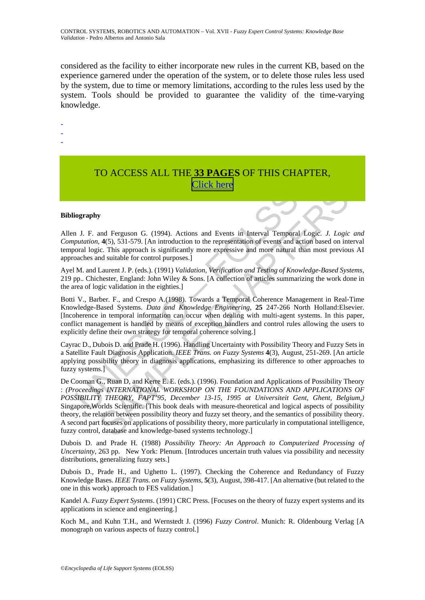considered as the facility to either incorporate new rules in the current KB, based on the experience garnered under the operation of the system, or to delete those rules less used by the system, due to time or memory limitations, according to the rules less used by the system. Tools should be provided to guarantee the validity of the time-varying knowledge.

-

-

-

# TO ACCESS ALL THE **33 PAGES** OF THIS CHAPTER, [Click here](http://www.eolss.net/Eolss-sampleAllChapter.aspx)

#### **Bibliography**

Allen J. F. and Ferguson G. (1994). Actions and Events in Interval Temporal Logic. *J. Logic and Computation*, **4**(5), 531-579. [An introduction to the representation of events and action based on interval temporal logic. This approach is significantly more expressive and more natural than most previous AI approaches and suitable for control purposes.]

Ayel M. and Laurent J. P. (eds.). (1991) *Validation, Verification and Testing of Knowledge*-*Based Systems,*  219 pp.*.* Chichester, England: John Wiley & Sons. [A collection of articles summarizing the work done in the area of logic validation in the eighties.]

iography<br>
1 J. F. and Ferguson G. (1994). Actions and Events in Interval Temporal<br>
1 J. F. and Ferguson G. (1994). Actions and Events in Interval Temporal<br>
1 Dutation, 4(5), 531-579. [An introduction to the representation Botti V., Barber. F., and Crespo A.(1998). Towards a Temporal Coherence Management in Real-Time Knowledge-Based Systems. *Data and Knowledge Engineering*, **25** 247-266 North Holland:Elsevier. [Incoherence in temporal information can occur when dealing with multi-agent systems. In this paper, conflict management is handled by means of exception handlers and control rules allowing the users to explicitly define their own strategy for temporal coherence solving.]

Cayrac D., Dubois D. and Prade H. (1996). Handling Uncertainty with Possibility Theory and Fuzzy Sets in a Satellite Fault Diagnosis Application. *IEEE Trans. on Fuzzy Systems* **4**(3), August, 251-269. [An article applying possibility theory in diagnosis applications, emphasizing its difference to other approaches to fuzzy systems.]

**EXECUTE CONSUMERATE CONSUMERATE CONSUMERATE:**<br>
(**A)**, 4331-579. [An introduction to the representation of events and action based on interval Temporal Logic. *J. Logic*<br>
(**A)**, 531-579. [An introduction to the representi De Cooman G., Ruan D, and Kerre E. E. (eds.). (1996). Foundation and Applications of Possibility Theory : *(Proceedings INTERNATIONAL WORKSHOP ON THE FOUNDATIONS AND APPLICATIONS OF POSSIBILITY THEORY, FAPT'95, December 13-15, 1995 at Universiteit Gent, Ghent, Belgium,)* Singapore,Worlds Scientific. [This book deals with measure-theoretical and logical aspects of possibility theory, the relation between possibility theory and fuzzy set theory, and the semantics of possibility theory. A second part focuses on applications of possibility theory, more particularly in computational intelligence, fuzzy control, database and knowledge-based systems technology.]

Dubois D. and Prade H. (1988) *Possibility Theory: An Approach to Computerized Processing of Uncertainty*, 263 pp. New York: Plenum. [Introduces uncertain truth values via possibility and necessity distributions, generalizing fuzzy sets.]

Dubois D., Prade H., and Ughetto L. (1997). Checking the Coherence and Redundancy of Fuzzy Knowledge Bases. *IEEE Trans. on Fuzzy Systems*, **5**(3), August, 398-417. [An alternative (but related to the one in this work) approach to FES validation.]

Kandel A. *Fuzzy Expert Systems*. (1991) CRC Press. [Focuses on the theory of fuzzy expert systems and its applications in science and engineering.]

Koch M., and Kuhn T.H., and Wernstedt J. (1996) *Fuzzy Control*. Munich: R. Oldenbourg Verlag [A monograph on various aspects of fuzzy control.]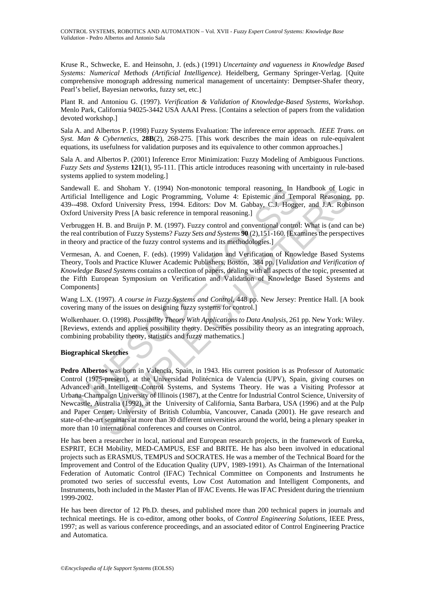Kruse R., Schwecke, E. and Heinsohn, J. (eds.) (1991) *Uncertainty and vagueness in Knowledge Based Systems: Numerical Methods (Artificial Intelligence)*. Heidelberg, Germany Springer-Verlag. [Quite comprehensive monograph addressing numerical management of uncertainty: Demptser-Shafer theory, Pearl's belief, Bayesian networks, fuzzy set, etc.]

Plant R. and Antoniou G. (1997). *Verification & Validation of Knowledge*-*Based Systems, Workshop*. Menlo Park, California 94025-3442 USA AAAI Press. [Contains a selection of papers from the validation devoted workshop.]

Sala A. and Albertos P. (1998) Fuzzy Systems Evaluation: The inference error approach. *IEEE Trans. on Syst. Man & Cybernetics*, **28B**(2), 268-275. [This work describes the main ideas on rule-equivalent equations, its usefulness for validation purposes and its equivalence to other common approaches.]

Sala A. and Albertos P. (2001) Inference Error Minimization: Fuzzy Modeling of Ambiguous Functions. *Fuzzy Sets and Systems* **121**(1), 95-111. [This article introduces reasoning with uncertainty in rule-based systems applied to system modeling.]

Sandewall E. and Shoham Y. (1994) Non-monotonic temporal reasoning. In Handbook of Logic in Artificial Intelligence and Logic Programming, Volume 4: Epistemic and Temporal Reasoning, pp. 439--498. Oxford University Press, 1994. Editors: Dov M. Gabbay, C.J. Hogger, and J.A. Robinson Oxford University Press [A basic reference in temporal reasoning.]

Verbruggen H. B. and Bruijn P. M. (1997). Fuzzy control and conventional control: What is (and can be) the real contribution of Fuzzy Systems? *Fuzzy Sets and Systems* **90** (2),151-160. [Examines the perspectives in theory and practice of the fuzzy control systems and its methodologies.]

Vermesan, A. and Coenen, F. (eds). (1999) Validation and Verification of Knowledge Based Systems Theory, Tools and Practice Kluwer Academic Publishers, Boston, 384 pp. [*Validation and Verification of Knowledge Based Systems* contains a collection of papers, dealing with all aspects of the topic, presented at the Fifth European Symposium on Verification and Validation of Knowledge Based Systems and Components]

Wang L.X. (1997). *A course in Fuzzy Systems and Control*, 448 pp. New Jersey: Prentice Hall. [A book covering many of the issues on designing fuzzy systems for control.]

Wolkenhauer. O. (1998). *Possibility Theory With Applications to Data Analysis*, 261 pp. New York: Wiley. [Reviews, extends and applies possibility theory. Describes possibility theory as an integrating approach, combining probability theory, statistics and fuzzy mathematics.]

#### **Biographical Sketches**

iewall E. and Shoham Y. (1994) Non-monotonic temporal reasoning. In F<br>icial Intelligence and Logic Programming, Volume 4: Epistemic and Ten-498. Oxford University Press, 1994. Editors: Dov M. Gabbay, C.J. Hoggerd Universit . and Shoham Y. (1994) Non-monotonic temporal reasoning. In Handbook of Log-<br>elligence and Logic Programming, Volume 4: Epistemic and Temporal Reasoning<br>ford University Press, 1994. Editors: Dov M. Gabbay, C.J. Hogger, an **Pedro Albertos** was born in Valencia, Spain, in 1943. His current position is as Professor of Automatic Control (1975-present), at the Universidad Politécnica de Valencia (UPV), Spain, giving courses on Advanced and Intelligent Control Systems, and Systems Theory. He was a Visiting Professor at Urbana-Champaign University of Illinois (1987), at the Centre for Industrial Control Science, University of Newcastle, Australia (1992), at the University of California, Santa Barbara, USA (1996) and at the Pulp and Paper Center, University of British Columbia, Vancouver, Canada (2001). He gave research and state-of-the-art seminars at more than 30 different universities around the world, being a plenary speaker in more than 10 international conferences and courses on Control.

He has been a researcher in local, national and European research projects, in the framework of Eureka, ESPRIT, ECH Mobility, MED-CAMPUS, ESF and BRITE. He has also been involved in educational projects such as ERASMUS, TEMPUS and SOCRATES. He was a member of the Technical Board for the Improvement and Control of the Education Quality (UPV, 1989-1991). As Chairman of the International Federation of Automatic Control (IFAC) Technical Committee on Components and Instruments he promoted two series of successful events, Low Cost Automation and Intelligent Components, and Instruments, both included in the Master Plan of IFAC Events. He was IFAC President during the triennium 1999-2002.

He has been director of 12 Ph.D. theses, and published more than 200 technical papers in journals and technical meetings. He is co-editor, among other books, of *Control Engineering Solutions*, IEEE Press, 1997; as well as various conference proceedings, and an associated editor of Control Engineering Practice and Automatica.